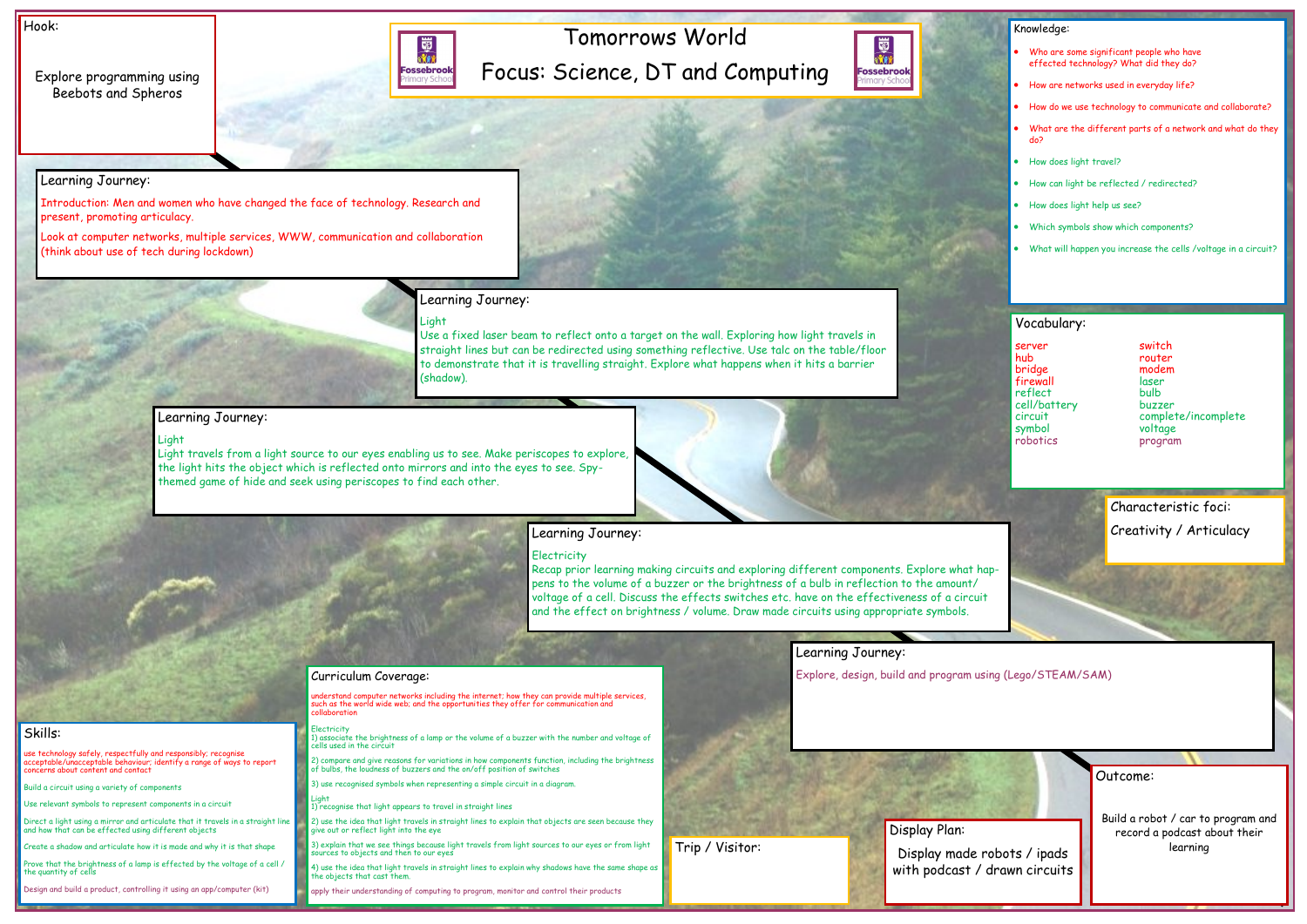# Tomorrows World Focus: Science, DT and Computing



Hook:

Explore programming using Beebots and Spheros



Outcome:

Build a robot / car to program and record a podcast about their learning

### Knowledge:

- Who are some significant people who have effected technology? What did they do?
- How are networks used in everyday life?
- How do we use technology to communicate and collaborate?
- What are the different parts of a network and what do they do?
- How does light travel?
- How can light be reflected / redirected?
- How does light help us see?
- Which symbols show which components?
- What will happen you increase the cells /voltage in a circuit?

Skills:

use technology safely, respectfully and responsibly; recognise acceptable/unacceptable behaviour; identify a range of ways to report concerns about content and contact

Build a circuit using a variety of components

Use relevant symbols to represent components in a circuit

Direct a light using a mirror and articulate that it travels in a straight line and how that can be effected using different objects

Create a shadow and articulate how it is made and why it is that shape

Prove that the brightness of a lamp is effected by the voltage of a cell / the quantity of cells

Design and build a product, controlling it using an app/computer (kit)

### Learning Journey:

Introduction: Men and women who have changed the face of technology. Research and present, promoting articulacy.

> derstand computer networks including the internet; how they can provide multiple services, such as the world wide web; and the opportunities they offer for communication and collaboration

Look at computer networks, multiple services, WWW, communication and collaboration (think about use of tech during lockdown)

### Learning Journey:

Light

Use a fixed laser beam to reflect onto a target on the wall. Exploring how light travels in straight lines but can be redirected using something reflective. Use talc on the table/floor to demonstrate that it is travelling straight. Explore what happens when it hits a barrier (shadow).

### Learning Journey:

### Light

circuit complete/incomplete program

server switch hub router bridge modem **firewall** laser<br>reflect bulb reflect cell/battery buzzer symbol voltage

Light travels from a light source to our eyes enabling us to see. Make periscopes to explore, the light hits the object which is reflected onto mirrors and into the eyes to see. Spythemed game of hide and seek using periscopes to find each other.



### Learning Journey:

### **Electricity**

Recap prior learning making circuits and exploring different components. Explore what happens to the volume of a buzzer or the brightness of a bulb in reflection to the amount/ voltage of a cell. Discuss the effects switches etc. have on the effectiveness of a circuit and the effect on brightness / volume. Draw made circuits using appropriate symbols.

Learning Journey:

## Curriculum Coverage: Explore, design, build and program using (Lego/STEAM/SAM)

Electricity 1) associate the brightness of a lamp or the volume of a buzzer with the number and voltage of cells used in the circuit

2) compare and give reasons for variations in how components function, including the brightness of bulbs, the loudness of buzzers and the on/off position of switches

3) use recognised symbols when representing a simple circuit in a diagram.

Light 1) recognise that light appears to travel in straight lines

2) use the idea that light travels in straight lines to explain that objects are seen because they give out or reflect light into the eye

3) explain that we see things because light travels from light sources to our eyes or from light sources to objects and then to our eyes

4) use the idea that light travels in straight lines to explain why shadows have the same shape as the objects that cast them.

apply their understanding of computing to program, monitor and control their products

### Vocabulary:

Display Plan:

Display made robots / ipads with podcast / drawn circuits

Trip / Visitor:

## Characteristic foci: Creativity / Articulacy